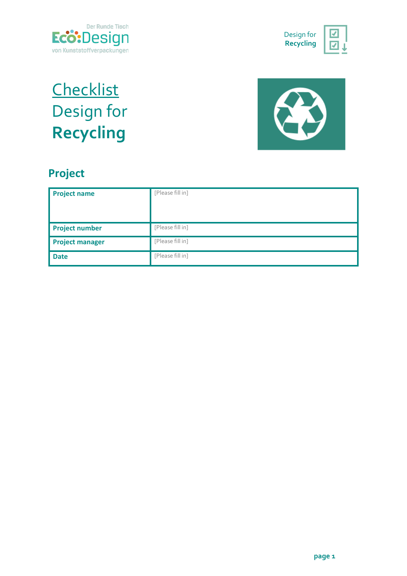



## **Checklist** Design for **Recycling**



## **Project**

| <b>Project name</b>    | [Please fill in] |
|------------------------|------------------|
| <b>Project number</b>  | [Please fill in] |
| <b>Project manager</b> | [Please fill in] |
| <b>Date</b>            | [Please fill in] |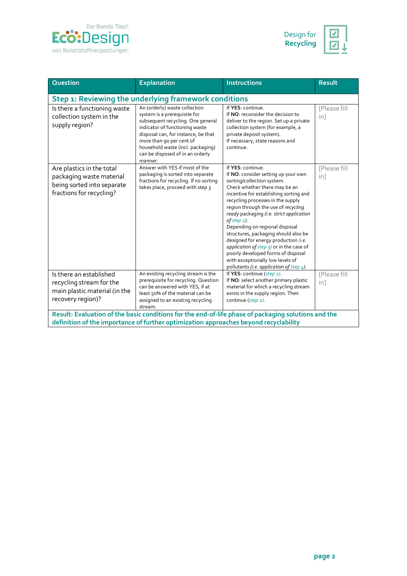



| <b>Question</b>                                                                                                                                                                             | <b>Explanation</b>                                                                                                                                                                                                                                                                          | <b>Instructions</b>                                                                                                                                                                                                                                                                                                                                                                                                                                                                                                                                                                             | <b>Result</b>                          |  |  |
|---------------------------------------------------------------------------------------------------------------------------------------------------------------------------------------------|---------------------------------------------------------------------------------------------------------------------------------------------------------------------------------------------------------------------------------------------------------------------------------------------|-------------------------------------------------------------------------------------------------------------------------------------------------------------------------------------------------------------------------------------------------------------------------------------------------------------------------------------------------------------------------------------------------------------------------------------------------------------------------------------------------------------------------------------------------------------------------------------------------|----------------------------------------|--|--|
| Step 1: Reviewing the underlying framework conditions                                                                                                                                       |                                                                                                                                                                                                                                                                                             |                                                                                                                                                                                                                                                                                                                                                                                                                                                                                                                                                                                                 |                                        |  |  |
| Is there a functioning waste<br>collection system in the<br>supply region?                                                                                                                  | An (orderly) waste collection<br>system is a prerequisite for<br>subsequent recycling. One general<br>indicator of functioning waste<br>disposal can, for instance, be that<br>more than 90 per cent of<br>household waste (incl. packaging)<br>can be disposed of in an orderly<br>manner. | If YES: continue.<br>If NO: reconsider the decision to<br>deliver to the region. Set up a private<br>collection system (for example, a<br>private deposit system).<br>If necessary, state reasons and<br>continue.                                                                                                                                                                                                                                                                                                                                                                              | <b>IPlease fill</b><br>in <sub>1</sub> |  |  |
| Are plastics in the total<br>packaging waste material<br>being sorted into separate<br>fractions for recycling?                                                                             | Answer with YES if most of the<br>packaging is sorted into separate<br>fractions for recycling. If no sorting<br>takes place, proceed with step 3                                                                                                                                           | If YES: continue.<br>If NO: consider setting up your own<br>sorting/collection system.<br>Check whether there may be an<br>incentive for establishing sorting and<br>recycling processes in the supply<br>region through the use of recycling<br>ready packaging (i.e. strict application<br>of step $2$ ).<br>Depending on regional disposal<br>structures, packaging should also be<br>designed for energy production (i.e.<br>application of step 3) or in the case of<br>poorly developed forms of disposal<br>with exceptionally low levels of<br>pollutants (i.e. application of step 4). | [Please fill<br>in <sub>1</sub>        |  |  |
| Is there an established<br>recycling stream for the<br>main plastic material (in the<br>recovery region)?                                                                                   | An existing recycling stream is the<br>prerequisite for recycling. Question<br>can be answered with YES, if at<br>least 50% of the material can be<br>assigned to an existing recycling<br>stream.                                                                                          | If YES: continue (step 2).<br>If NO: select another primary plastic<br>material for which a recycling stream<br>exists in the supply region. Then<br>continue (step 2).                                                                                                                                                                                                                                                                                                                                                                                                                         | [Please fill<br>in]                    |  |  |
| Result: Evaluation of the basic conditions for the end-of-life phase of packaging solutions and the<br>definition of the importance of further optimization approaches beyond recyclability |                                                                                                                                                                                                                                                                                             |                                                                                                                                                                                                                                                                                                                                                                                                                                                                                                                                                                                                 |                                        |  |  |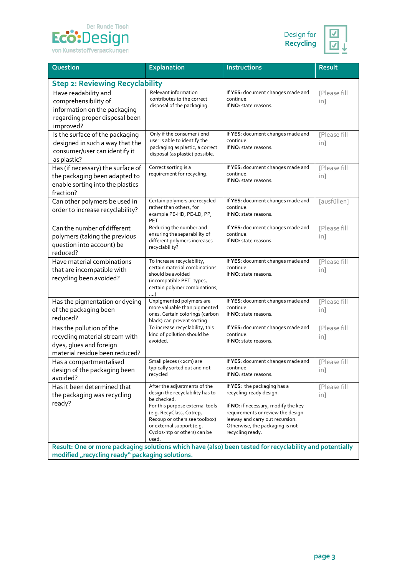



| Question                                                                                                                                                   | <b>Explanation</b>                                                                                                                                                                                                                                   | <b>Instructions</b>                                                                                                                                                                                                          | <b>Result</b>                   |  |  |
|------------------------------------------------------------------------------------------------------------------------------------------------------------|------------------------------------------------------------------------------------------------------------------------------------------------------------------------------------------------------------------------------------------------------|------------------------------------------------------------------------------------------------------------------------------------------------------------------------------------------------------------------------------|---------------------------------|--|--|
| <b>Step 2: Reviewing Recyclability</b>                                                                                                                     |                                                                                                                                                                                                                                                      |                                                                                                                                                                                                                              |                                 |  |  |
| Have readability and<br>comprehensibility of<br>information on the packaging<br>regarding proper disposal been<br>improved?                                | Relevant information<br>contributes to the correct<br>disposal of the packaging.                                                                                                                                                                     | If YES: document changes made and<br>continue.<br>If NO: state reasons.                                                                                                                                                      | [Please fill<br>in <sub>1</sub> |  |  |
| Is the surface of the packaging<br>designed in such a way that the<br>consumer/user can identify it<br>as plastic?                                         | Only if the consumer / end<br>user is able to identify the<br>packaging as plastic, a correct<br>disposal (as plastic) possible.                                                                                                                     | If YES: document changes made and<br>continue.<br>If NO: state reasons.                                                                                                                                                      | [Please fill<br>in]             |  |  |
| Has (if necessary) the surface of<br>the packaging been adapted to<br>enable sorting into the plastics<br>fraction?                                        | Correct sorting is a<br>requirement for recycling.                                                                                                                                                                                                   | If YES: document changes made and<br>continue.<br>If NO: state reasons.                                                                                                                                                      | [Please fill<br>in]             |  |  |
| Can other polymers be used in<br>order to increase recyclability?                                                                                          | Certain polymers are recycled<br>rather than others, for<br>example PE-HD, PE-LD, PP,<br>PET                                                                                                                                                         | If YES: document changes made and<br>continue.<br>If NO: state reasons.                                                                                                                                                      | [ausfüllen]                     |  |  |
| Can the number of different<br>polymers (taking the previous<br>question into account) be<br>reduced?                                                      | Reducing the number and<br>ensuring the separability of<br>different polymers increases<br>recyclability?                                                                                                                                            | If YES: document changes made and<br>continue.<br>If NO: state reasons.                                                                                                                                                      | [Please fill<br>in <sub>1</sub> |  |  |
| Have material combinations<br>that are incompatible with<br>recycling been avoided?                                                                        | To increase recyclability,<br>certain material combinations<br>should be avoided<br>(incompatible PET -types,<br>certain polymer combinations,<br>. )                                                                                                | If YES: document changes made and<br>continue.<br>If NO: state reasons.                                                                                                                                                      | [Please fill<br>in <sub>1</sub> |  |  |
| Has the pigmentation or dyeing<br>of the packaging been<br>reduced?                                                                                        | Unpigmented polymers are<br>more valuable than pigmented<br>ones. Certain colorings (carbon<br>black) can prevent sorting                                                                                                                            | If YES: document changes made and<br>continue.<br>If NO: state reasons.                                                                                                                                                      | [Please fill<br>in <sub>1</sub> |  |  |
| Has the pollution of the<br>recycling material stream with<br>dyes, glues and foreign<br>material residue been reduced?                                    | To increase recyclability, this<br>kind of pollution should be<br>avoided.                                                                                                                                                                           | If YES: document changes made and<br>continue.<br>If NO: state reasons.                                                                                                                                                      | [Please fill<br>in]             |  |  |
| Has a compartmentalised<br>design of the packaging been<br>avoided?                                                                                        | Small pieces (<2cm) are<br>typically sorted out and not<br>recycled                                                                                                                                                                                  | If YES: document changes made and<br>continue.<br>If NO: state reasons.                                                                                                                                                      | [Please fill<br>in]             |  |  |
| Has it been determined that<br>the packaging was recycling<br>ready?                                                                                       | After the adjustments of the<br>design the recyclability has to<br>be checked.<br>For this purpose external tools<br>(e.g. RecyClass, Cotrep,<br>Recoup or others see toolbox)<br>or external support (e.g.<br>Cyclos-htp or others) can be<br>used. | If YES: the packaging has a<br>recycling-ready design.<br>If NO: if necessary, modify the key<br>requirements or review the design<br>leeway and carry out recursion.<br>Otherwise, the packaging is not<br>recycling ready. | [Please fill<br>in <sub>1</sub> |  |  |
| Result: One or more packaging solutions which have (also) been tested for recyclability and potentially<br>modified "recycling ready" packaging solutions. |                                                                                                                                                                                                                                                      |                                                                                                                                                                                                                              |                                 |  |  |